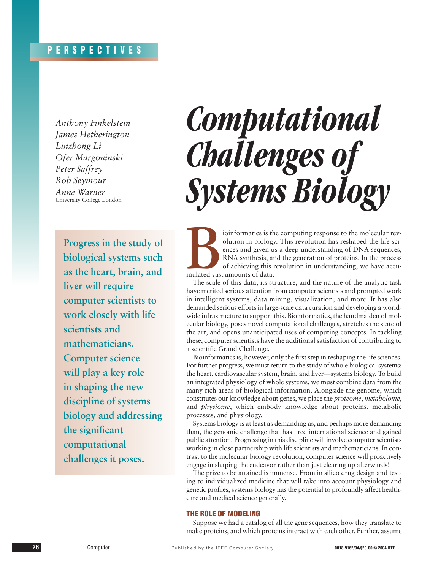*Anthony Finkelstein James Hetherington Linzhong Li Ofer Margoninski Peter Saffrey Rob Seymour Anne Warner* University College London

> **Progress in the study of biological systems such as the heart, brain, and liver will require computer scientists to work closely with life scientists and mathematicians. Computer science will play a key role in shaping the new discipline of systems biology and addressing the significant computational challenges it poses.**

# *Computational Challenges of Systems Biology*

ioinformatics is the computing response to the molecular rev-<br>olution in biology. This revolution has reshaped the life sci-<br>ences and given us a deep understanding of DNA sequences,<br>RNA synthesis, and the generation of pr olution in biology. This revolution has reshaped the life sciences and given us a deep understanding of DNA sequences, RNA synthesis, and the generation of proteins. In the process of achieving this revolution in understanding, we have accumulated vast amounts of data.

The scale of this data, its structure, and the nature of the analytic task have merited serious attention from computer scientists and prompted work in intelligent systems, data mining, visualization, and more. It has also demanded serious efforts in large-scale data curation and developing a worldwide infrastructure to support this. Bioinformatics, the handmaiden of molecular biology, poses novel computational challenges, stretches the state of the art, and opens unanticipated uses of computing concepts. In tackling these, computer scientists have the additional satisfaction of contributing to a scientific Grand Challenge.

Bioinformatics is, however, only the first step in reshaping the life sciences. For further progress, we must return to the study of whole biological systems: the heart, cardiovascular system, brain, and liver—systems biology. To build an integrated physiology of whole systems, we must combine data from the many rich areas of biological information. Alongside the genome, which constitutes our knowledge about genes, we place the *proteome*, *metabolome*, and *physiome*, which embody knowledge about proteins, metabolic processes, and physiology.

Systems biology is at least as demanding as, and perhaps more demanding than, the genomic challenge that has fired international science and gained public attention. Progressing in this discipline will involve computer scientists working in close partnership with life scientists and mathematicians. In contrast to the molecular biology revolution, computer science will proactively engage in shaping the endeavor rather than just clearing up afterwards!

The prize to be attained is immense. From in silico drug design and testing to individualized medicine that will take into account physiology and genetic profiles, systems biology has the potential to profoundly affect healthcare and medical science generally.

#### **THE ROLE OF MODELING**

Suppose we had a catalog of all the gene sequences, how they translate to make proteins, and which proteins interact with each other. Further, assume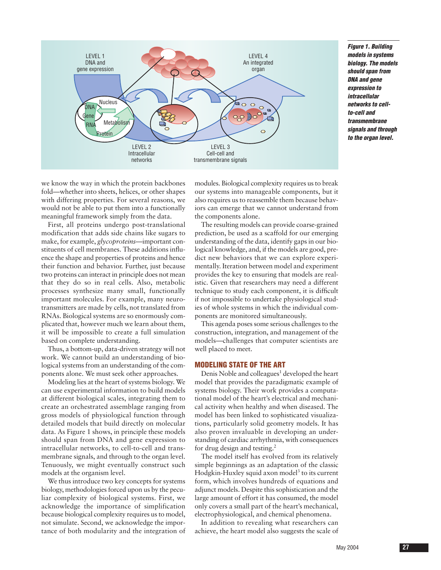

*Figure 1. Building models in systems biology. The models should span from DNA and gene expression to intracellular networks to cellto-cell and transmembrane signals and through to the organ level.*

we know the way in which the protein backbones fold—whether into sheets, helices, or other shapes with differing properties. For several reasons, we would not be able to put them into a functionally meaningful framework simply from the data.

First, all proteins undergo post-translational modification that adds side chains like sugars to make, for example, *glycoproteins*—important constituents of cell membranes. These additions influence the shape and properties of proteins and hence their function and behavior. Further, just because two proteins can interact in principle does not mean that they do so in real cells. Also, metabolic processes synthesize many small, functionally important molecules. For example, many neurotransmitters are made by cells, not translated from RNAs. Biological systems are so enormously complicated that, however much we learn about them, it will be impossible to create a full simulation based on complete understanding.

Thus, a bottom-up, data-driven strategy will not work. We cannot build an understanding of biological systems from an understanding of the components alone. We must seek other approaches.

Modeling lies at the heart of systems biology. We can use experimental information to build models at different biological scales, integrating them to create an orchestrated assemblage ranging from gross models of physiological function through detailed models that build directly on molecular data. As Figure 1 shows, in principle these models should span from DNA and gene expression to intracellular networks, to cell-to-cell and transmembrane signals, and through to the organ level. Tenuously, we might eventually construct such models at the organism level.

We thus introduce two key concepts for systems biology, methodologies forced upon us by the peculiar complexity of biological systems. First, we acknowledge the importance of simplification because biological complexity requires us to model, not simulate. Second, we acknowledge the importance of both modularity and the integration of

modules. Biological complexity requires us to break our systems into manageable components, but it also requires us to reassemble them because behaviors can emerge that we cannot understand from the components alone.

The resulting models can provide coarse-grained prediction, be used as a scaffold for our emerging understanding of the data, identify gaps in our biological knowledge, and, if the models are good, predict new behaviors that we can explore experimentally. Iteration between model and experiment provides the key to ensuring that models are realistic. Given that researchers may need a different technique to study each component, it is difficult if not impossible to undertake physiological studies of whole systems in which the individual components are monitored simultaneously.

This agenda poses some serious challenges to the construction, integration, and management of the models—challenges that computer scientists are well placed to meet.

#### **MODELING STATE OF THE ART**

Denis Noble and colleagues<sup>1</sup> developed the heart model that provides the paradigmatic example of systems biology. Their work provides a computational model of the heart's electrical and mechanical activity when healthy and when diseased. The model has been linked to sophisticated visualizations, particularly solid geometry models. It has also proven invaluable in developing an understanding of cardiac arrhythmia, with consequences for drug design and testing.<sup>2</sup>

The model itself has evolved from its relatively simple beginnings as an adaptation of the classic Hodgkin-Huxley squid axon model<sup>3</sup> to its current form, which involves hundreds of equations and adjunct models. Despite this sophistication and the large amount of effort it has consumed, the model only covers a small part of the heart's mechanical, electrophysiological, and chemical phenomena.

In addition to revealing what researchers can achieve, the heart model also suggests the scale of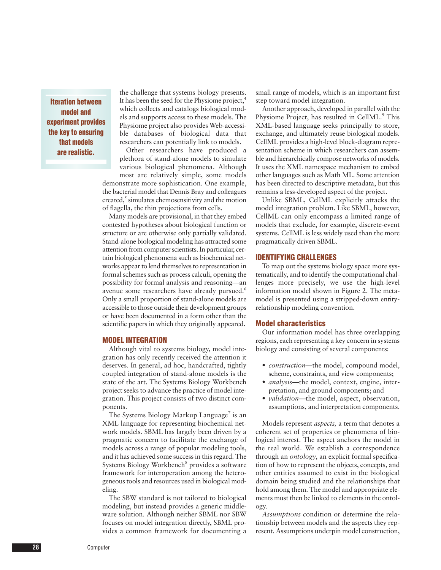**Iteration between model and experiment provides the key to ensuring that models are realistic.**

the challenge that systems biology presents. It has been the seed for the Physiome project,<sup>4</sup> which collects and catalogs biological models and supports access to these models. The Physiome project also provides Web-accessible databases of biological data that researchers can potentially link to models.

Other researchers have produced a plethora of stand-alone models to simulate various biological phenomena. Although most are relatively simple, some models demonstrate more sophistication. One example, the bacterial model that Dennis Bray and colleagues created,<sup>5</sup> simulates chemosensitivity and the motion of flagella, the thin projections from cells.

Many models are provisional, in that they embed contested hypotheses about biological function or structure or are otherwise only partially validated. Stand-alone biological modeling has attracted some attention from computer scientists. In particular, certain biological phenomena such as biochemical networks appear to lend themselves to representation in formal schemes such as process calculi, opening the possibility for formal analysis and reasoning—an avenue some researchers have already pursued.<sup>6</sup> Only a small proportion of stand-alone models are accessible to those outside their development groups or have been documented in a form other than the scientific papers in which they originally appeared.

#### **MODEL INTEGRATION**

Although vital to systems biology, model integration has only recently received the attention it deserves. In general, ad hoc, handcrafted, tightly coupled integration of stand-alone models is the state of the art. The Systems Biology Workbench project seeks to advance the practice of model integration. This project consists of two distinct components.

The Systems Biology Markup Language<sup>7</sup> is an XML language for representing biochemical network models. SBML has largely been driven by a pragmatic concern to facilitate the exchange of models across a range of popular modeling tools, and it has achieved some success in this regard. The Systems Biology Workbench<sup>8</sup> provides a software framework for interoperation among the heterogeneous tools and resources used in biological modeling.

The SBW standard is not tailored to biological modeling, but instead provides a generic middleware solution. Although neither SBML nor SBW focuses on model integration directly, SBML provides a common framework for documenting a small range of models, which is an important first step toward model integration.

Another approach, developed in parallel with the Physiome Project, has resulted in CellML.<sup>9</sup> This XML-based language seeks principally to store, exchange, and ultimately reuse biological models. CellML provides a high-level block-diagram representation scheme in which researchers can assemble and hierarchically compose networks of models. It uses the XML namespace mechanism to embed other languages such as Math ML. Some attention has been directed to descriptive metadata, but this remains a less-developed aspect of the project.

Unlike SBML, CellML explicitly attacks the model integration problem. Like SBML, however, CellML can only encompass a limited range of models that exclude, for example, discrete-event systems. CellML is less widely used than the more pragmatically driven SBML.

#### **IDENTIFYING CHALLENGES**

To map out the systems biology space more systematically, and to identify the computational challenges more precisely, we use the high-level information model shown in Figure 2. The metamodel is presented using a stripped-down entityrelationship modeling convention.

#### **Model characteristics**

Our information model has three overlapping regions, each representing a key concern in systems biology and consisting of several components:

- *construction*—the model, compound model, scheme, constraints, and view components;
- *analysis*—the model, context, engine, interpretation, and ground components; and
- *validation*—the model, aspect, observation, assumptions, and interpretation components.

Models represent *aspects,* a term that denotes a coherent set of properties or phenomena of biological interest. The aspect anchors the model in the real world. We establish a correspondence through an *ontology*, an explicit formal specification of how to represent the objects, concepts, and other entities assumed to exist in the biological domain being studied and the relationships that hold among them. The model and appropriate elements must then be linked to elements in the ontology.

*Assumptions* condition or determine the relationship between models and the aspects they represent. Assumptions underpin model construction,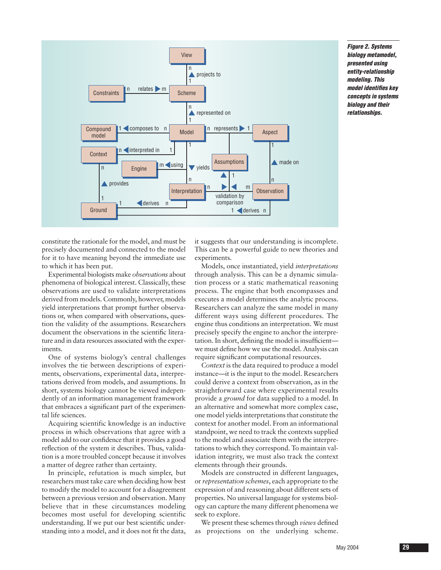

*Figure 2. Systems biology metamodel, presented using entity-relationship modeling. This model identifies key concepts in systems biology and their relationships.* 

constitute the rationale for the model, and must be precisely documented and connected to the model for it to have meaning beyond the immediate use to which it has been put.

Experimental biologists make *observations* about phenomena of biological interest. Classically, these observations are used to validate interpretations derived from models. Commonly, however, models yield interpretations that prompt further observations or, when compared with observations, question the validity of the assumptions. Researchers document the observations in the scientific literature and in data resources associated with the experiments.

One of systems biology's central challenges involves the tie between descriptions of experiments, observations, experimental data, interpretations derived from models, and assumptions. In short, systems biology cannot be viewed independently of an information management framework that embraces a significant part of the experimental life sciences.

Acquiring scientific knowledge is an inductive process in which observations that agree with a model add to our confidence that it provides a good reflection of the system it describes. Thus, validation is a more troubled concept because it involves a matter of degree rather than certainty.

In principle, refutation is much simpler, but researchers must take care when deciding how best to modify the model to account for a disagreement between a previous version and observation. Many believe that in these circumstances modeling becomes most useful for developing scientific understanding. If we put our best scientific understanding into a model, and it does not fit the data,

it suggests that our understanding is incomplete. This can be a powerful guide to new theories and experiments.

Models, once instantiated, yield *interpretations* through analysis. This can be a dynamic simulation process or a static mathematical reasoning process. The engine that both encompasses and executes a model determines the analytic process. Researchers can analyze the same model in many different ways using different procedures. The engine thus conditions an interpretation. We must precisely specify the engine to anchor the interpretation. In short, defining the model is insufficient we must define how we use the model. Analysis can require significant computational resources.

*Context* is the data required to produce a model instance—it is the input to the model. Researchers could derive a context from observation, as in the straightforward case where experimental results provide a *ground* for data supplied to a model. In an alternative and somewhat more complex case, one model yields interpretations that constitute the context for another model. From an informational standpoint, we need to track the contexts supplied to the model and associate them with the interpretations to which they correspond. To maintain validation integrity, we must also track the context elements through their grounds.

Models are constructed in different languages, or *representation schemes*, each appropriate to the expression of and reasoning about different sets of properties. No universal language for systems biology can capture the many different phenomena we seek to explore.

We present these schemes through *views* defined as projections on the underlying scheme.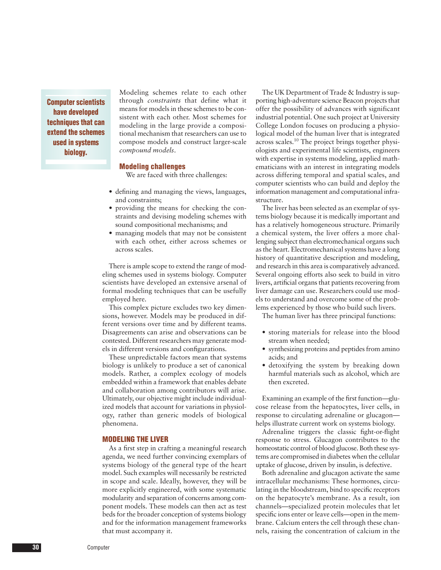**Computer scientists have developed techniques that can extend the schemes used in systems biology.**

Modeling schemes relate to each other through *constraints* that define what it means for models in these schemes to be consistent with each other. Most schemes for modeling in the large provide a compositional mechanism that researchers can use to compose models and construct larger-scale *compound models*.

#### **Modeling challenges**

We are faced with three challenges:

- defining and managing the views, languages, and constraints;
- providing the means for checking the constraints and devising modeling schemes with sound compositional mechanisms; and
- managing models that may not be consistent with each other, either across schemes or across scales.

There is ample scope to extend the range of modeling schemes used in systems biology. Computer scientists have developed an extensive arsenal of formal modeling techniques that can be usefully employed here.

This complex picture excludes two key dimensions, however. Models may be produced in different versions over time and by different teams. Disagreements can arise and observations can be contested. Different researchers may generate models in different versions and configurations.

These unpredictable factors mean that systems biology is unlikely to produce a set of canonical models. Rather, a complex ecology of models embedded within a framework that enables debate and collaboration among contributors will arise. Ultimately, our objective might include individualized models that account for variations in physiology, rather than generic models of biological phenomena.

#### **MODELING THE LIVER**

As a first step in crafting a meaningful research agenda, we need further convincing exemplars of systems biology of the general type of the heart model. Such examples will necessarily be restricted in scope and scale. Ideally, however, they will be more explicitly engineered, with some systematic modularity and separation of concerns among component models. These models can then act as test beds for the broader conception of systems biology and for the information management frameworks that must accompany it.

The UK Department of Trade & Industry is supporting high-adventure science Beacon projects that offer the possibility of advances with significant industrial potential. One such project at University College London focuses on producing a physiological model of the human liver that is integrated across scales.10 The project brings together physiologists and experimental life scientists, engineers with expertise in systems modeling, applied mathematicians with an interest in integrating models across differing temporal and spatial scales, and computer scientists who can build and deploy the information management and computational infrastructure.

The liver has been selected as an exemplar of systems biology because it is medically important and has a relatively homogeneous structure. Primarily a chemical system, the liver offers a more challenging subject than electromechanical organs such as the heart. Electromechanical systems have a long history of quantitative description and modeling, and research in this area is comparatively advanced. Several ongoing efforts also seek to build in vitro livers, artificial organs that patients recovering from liver damage can use. Researchers could use models to understand and overcome some of the problems experienced by those who build such livers.

The human liver has three principal functions:

- storing materials for release into the blood stream when needed;
- synthesizing proteins and peptides from amino acids; and
- detoxifying the system by breaking down harmful materials such as alcohol, which are then excreted.

Examining an example of the first function—glucose release from the hepatocytes, liver cells, in response to circulating adrenaline or glucagon helps illustrate current work on systems biology.

Adrenaline triggers the classic fight-or-flight response to stress. Glucagon contributes to the homeostatic control of blood glucose. Both these systems are compromised in diabetes when the cellular uptake of glucose, driven by insulin, is defective.

Both adrenaline and glucagon activate the same intracellular mechanisms: These hormones, circulating in the bloodstream, bind to specific receptors on the hepatocyte's membrane. As a result, ion channels—specialized protein molecules that let specific ions enter or leave cells—open in the membrane. Calcium enters the cell through these channels, raising the concentration of calcium in the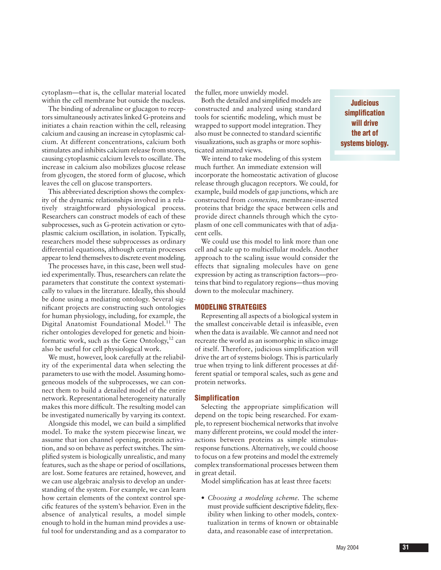cytoplasm—that is, the cellular material located within the cell membrane but outside the nucleus.

The binding of adrenaline or glucagon to receptors simultaneously activates linked G-proteins and initiates a chain reaction within the cell, releasing calcium and causing an increase in cytoplasmic calcium. At different concentrations, calcium both stimulates and inhibits calcium release from stores, causing cytoplasmic calcium levels to oscillate. The increase in calcium also mobilizes glucose release from glycogen, the stored form of glucose, which leaves the cell on glucose transporters.

This abbreviated description shows the complexity of the dynamic relationships involved in a relatively straightforward physiological process. Researchers can construct models of each of these subprocesses, such as G-protein activation or cytoplasmic calcium oscillation, in isolation. Typically, researchers model these subprocesses as ordinary differential equations, although certain processes appear to lend themselves to discrete event modeling.

The processes have, in this case, been well studied experimentally. Thus, researchers can relate the parameters that constitute the context systematically to values in the literature. Ideally, this should be done using a mediating ontology. Several significant projects are constructing such ontologies for human physiology, including, for example, the Digital Anatomist Foundational Model.<sup>11</sup> The richer ontologies developed for genetic and bioinformatic work, such as the Gene Ontology, $^{12}$  can also be useful for cell physiological work.

We must, however, look carefully at the reliability of the experimental data when selecting the parameters to use with the model. Assuming homogeneous models of the subprocesses, we can connect them to build a detailed model of the entire network. Representational heterogeneity naturally makes this more difficult. The resulting model can be investigated numerically by varying its context.

Alongside this model, we can build a simplified model. To make the system piecewise linear, we assume that ion channel opening, protein activation, and so on behave as perfect switches. The simplified system is biologically unrealistic, and many features, such as the shape or period of oscillations, are lost. Some features are retained, however, and we can use algebraic analysis to develop an understanding of the system. For example, we can learn how certain elements of the context control specific features of the system's behavior. Even in the absence of analytical results, a model simple enough to hold in the human mind provides a useful tool for understanding and as a comparator to the fuller, more unwieldy model.

Both the detailed and simplified models are constructed and analyzed using standard tools for scientific modeling, which must be wrapped to support model integration. They also must be connected to standard scientific visualizations, such as graphs or more sophisticated animated views.

We intend to take modeling of this system much further. An immediate extension will incorporate the homeostatic activation of glucose release through glucagon receptors. We could, for example, build models of gap junctions, which are constructed from *connexins,* membrane-inserted proteins that bridge the space between cells and provide direct channels through which the cytoplasm of one cell communicates with that of adjacent cells.

We could use this model to link more than one cell and scale up to multicellular models. Another approach to the scaling issue would consider the effects that signaling molecules have on gene expression by acting as transcription factors—proteins that bind to regulatory regions—thus moving down to the molecular machinery.

#### **MODELING STRATEGIES**

Representing all aspects of a biological system in the smallest conceivable detail is infeasible, even when the data is available. We cannot and need not recreate the world as an isomorphic in silico image of itself. Therefore, judicious simplification will drive the art of systems biology. This is particularly true when trying to link different processes at different spatial or temporal scales, such as gene and protein networks.

#### **Simplification**

Selecting the appropriate simplification will depend on the topic being researched. For example, to represent biochemical networks that involve many different proteins, we could model the interactions between proteins as simple stimulusresponse functions. Alternatively, we could choose to focus on a few proteins and model the extremely complex transformational processes between them in great detail.

Model simplification has at least three facets:

• *Choosing a modeling scheme.* The scheme must provide sufficient descriptive fidelity, flexibility when linking to other models, contextualization in terms of known or obtainable data, and reasonable ease of interpretation.

**Judicious simplification will drive the art of systems biology.**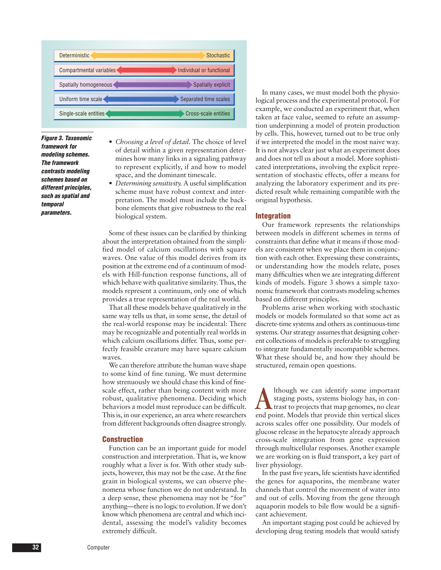

*Figure 3. Taxonomic framework for modeling schemes. The framework contrasts modeling schemes based on different principles, such as spatial and temporal parameters.*

- *Choosing a level of detail.* The choice of level of detail within a given representation determines how many links in a signaling pathway to represent explicitly, if and how to model space, and the dominant timescale.
- *Determining sensitivity.* A useful simplification scheme must have robust context and interpretation. The model must include the backbone elements that give robustness to the real biological system.

Some of these issues can be clarified by thinking about the interpretation obtained from the simplified model of calcium oscillations with square waves. One value of this model derives from its position at the extreme end of a continuum of models with Hill-function response functions, all of which behave with qualitative similarity. Thus, the models represent a continuum, only one of which provides a true representation of the real world.

That all these models behave qualitatively in the same way tells us that, in some sense, the detail of the real-world response may be incidental: There may be recognizable and potentially real worlds in which calcium oscillations differ. Thus, some perfectly feasible creature may have square calcium waves.

We can therefore attribute the human wave shape to some kind of fine tuning. We must determine how strenuously we should chase this kind of finescale effect, rather than being content with more robust, qualitative phenomena. Deciding which behaviors a model must reproduce can be difficult. This is, in our experience, an area where researchers from different backgrounds often disagree strongly.

#### **Construction**

Function can be an important guide for model construction and interpretation. That is, we know roughly what a liver is for. With other study subjects, however, this may not be the case. At the fine grain in biological systems, we can observe phenomena whose function we do not understand. In a deep sense, these phenomena may not be "for" anything—there is no logic to evolution. If we don't know which phenomena are central and which incidental, assessing the model's validity becomes extremely difficult.

In many cases, we must model both the physiological process and the experimental protocol. For example, we conducted an experiment that, when taken at face value, seemed to refute an assumption underpinning a model of protein production by cells. This, however, turned out to be true only if we interpreted the model in the most naive way. It is not always clear just what an experiment does and does not tell us about a model. More sophisticated interpretations, involving the explicit representation of stochastic effects, offer a means for analyzing the laboratory experiment and its predicted result while remaining compatible with the original hypothesis.

#### **Integration**

Our framework represents the relationships between models in different schemes in terms of constraints that define what it means if those models are consistent when we place them in conjunction with each other. Expressing these constraints, or understanding how the models relate, poses many difficulties when we are integrating different kinds of models. Figure 3 shows a simple taxonomic framework that contrasts modeling schemes based on different principles.

Problems arise when working with stochastic models or models formulated so that some act as discrete-time systems and others as continuous-time systems. Our strategy assumes that designing coherent collections of models is preferable to struggling to integrate fundamentally incompatible schemes. What these should be, and how they should be structured, remain open questions.

A lthough we can identify some important<br>staging posts, systems biology has, in con-<br>trast to projects that map genomes, no clear<br>end point. Models that provide thin vertical slices lthough we can identify some important staging posts, systems biology has, in contrast to projects that map genomes, no clear across scales offer one possibility. Our models of glucose release in the hepatocyte already approach cross-scale integration from gene expression through multicellular responses. Another example we are working on is fluid transport, a key part of liver physiology.

In the past five years, life scientists have identified the genes for aquaporins, the membrane water channels that control the movement of water into and out of cells. Moving from the gene through aquaporin models to bile flow would be a significant achievement.

An important staging post could be achieved by developing drug testing models that would satisfy